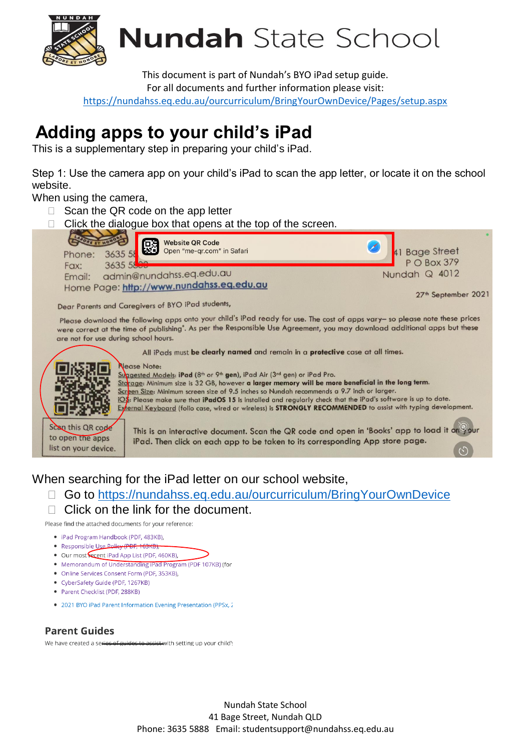

**Nundah** State School

This document is part of Nundah's BYO iPad setup guide. For all documents and further information please visit:

<https://nundahss.eq.edu.au/ourcurriculum/BringYourOwnDevice/Pages/setup.aspx>

# **Adding apps to your child's iPad**

This is a supplementary step in preparing your child's iPad.

Step 1: Use the camera app on your child's iPad to scan the app letter, or locate it on the school website.

When using the camera,

- $\Box$  Scan the QR code on the app letter
- $\Box$  Click the dialogue box that opens at the top of the screen.



Dear Parents and Caregivers of BYO iPad students,

Please download the following apps onto your child's iPad ready for use. The cost of apps vary- so please note these prices were correct at the time of publishing". As per the Responsible Use Agreement, you may download additional apps but these are not for use during school hours.

All iPads must be clearly named and remain in a protective case at all times.



Suggested Models: **iPad** (8<sup>th</sup> or 9<sup>th</sup> gen), iPad Air (3<sup>rd</sup> gen) or iPad Pro.  $\frac{\text{Sto}}{\text{age}}$ : Minimum size is 32 GB, however **a larger memory will be more beneficial in the long term.** Screen Size: Minimum screen size of 9.5 inches so Nundah recommends a 9.7 inch or larger.  $\overline{OS}$ : Please make sure that iPadOS 15 is installed and regularly check that the iPad's software is up to date. External Keyboard (folio case, wired or wireless) is STRONGLY RECOMMENDED to assist with typing development.

Scan this QR code to open the apps list on your device.

This is an interactive document. Scan the QR code and open in 'Books' app to load it on your iPad. Then click on each app to be taken to its corresponding App store page.

## When searching for the iPad letter on our school website,

- Go to<https://nundahss.eq.edu.au/ourcurriculum/BringYourOwnDevice>
- $\Box$  Click on the link for the document.

Please find the attached documents for your reference:

- · iPad Program Handbook (PDF, 483KB).
- Responsible Use Policy (PDF, 163KB)
- Our most recent iPad App List (PDF, 460KB),
- Memorandum of Understanding iPad Program (PDF 107KB) (for
- Online Services Consent Form (PDF, 353KB),
- CyberSafety Guide (PDF, 1267KB)
- Parent Checklist (PDF, 288KB)
- 2021 BYO iPad Parent Information Evening Presentation (PPSx, 2

#### **Parent Guides**

We have created a series of guides to assist with setting up your child's